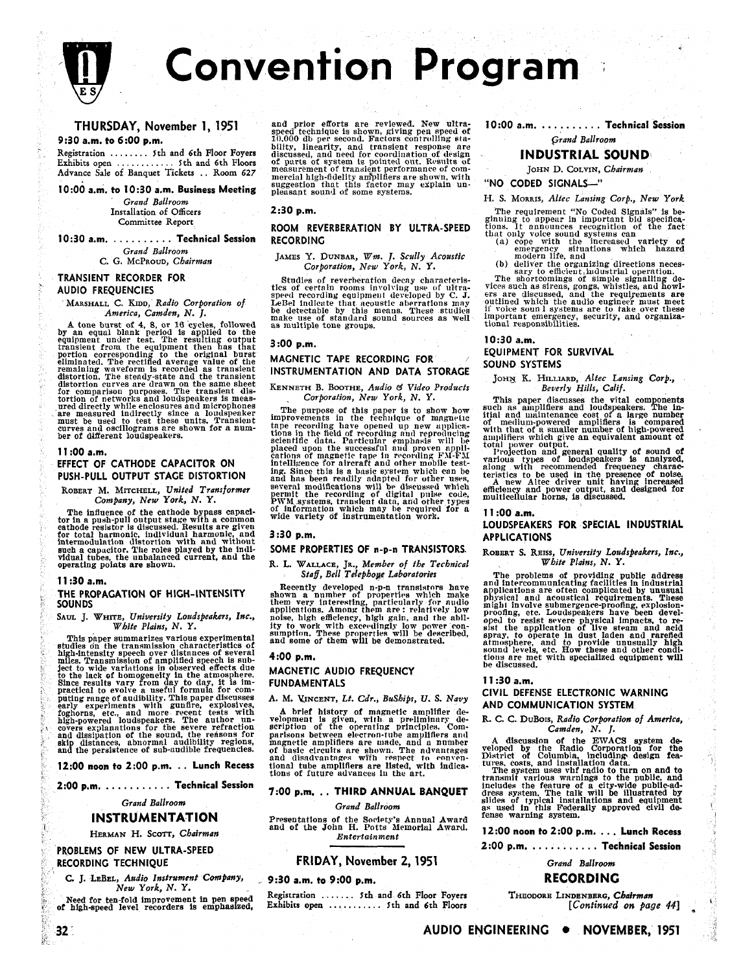

**THURSDAY, November 1, 1951 9:30 a.m. to 6:00 p.m.** 

Registration . . . . . . . . 5th and 6th Floor Foyers Exhibits open . . . . . . . . . . . . Ith and 6th Floors Advance Sale of Banquet Tickets . . Room 627

**10:OO a.m. to 10:30 a.m. Business Meeting** 

Grand Ballroom Installation of Officers Committee Report

**10:30 a.m.** . . . . . . . . . . **Technical Session**  Grand Ballroom C. G. MCPROUD, Chairman

## **TRANSIENT RECORDER FOR AUDIO FREQUENCIES**

MARSHALL C. KIDD, Radio Corporation of America, Camden, N. J.

A tone burst of 4, 8, or 16 cycles, followed<br>by an equal blank period is applied to the<br>equipment under test. The resulting output<br>transient from the equipment then has that<br>portion corresponding to the original burst<br>elim

### **11 :00 a.m.**

## **EFFECT OF CATHODE CAPACITOR ON PUSH-PULL OUTPUT STAGE DISTORTION**

ROBERT M. MITCHELL, United Transformer Company, New York, N. Y.

The influence of the cathode bypass capacitor in a push-pull output stage with a common cathode resistor is discussed. Results are given for total harmonic, individual harmonic, and intermodulation distortion with and with

## 11:30 a.m.

# **THE PROPAGATION OF HIGH-INTENSITY**

White Plains, N. Y.<br>
This paper summarizes various experimental sumption. These properties will be described,<br>
studies on the transmission characteristics of<br>
high-intensity speech over distances of several<br>
mellion. Tran covers explanat<br>and dissipation skip distances, abnormal audibility regions,<br>and the persistence of sub-audible frequencies.

**2:00 p.m.** . . . . . . . . . . . **Technical Session 7:00 p.m.** . . **THIRD ANNUAL BANQUET** 

Grand Ballroom

## **INSTRUMENTATION**

## **PROBLEMS OF NEW ULTRA-SPEED**  RECORDING TECHNIQUE **FRIDAY, November 2, 1951**

 $32^{\circ}$ 

C. J. LEBEL, Audio Instrument Company, 9:30 a.m. to 9:00 p.m. New York, N. Y.

Need for ten-fold improvement in pen speed of high-speed level recorders is emphasized,

and prior efforts are reviewed. New ultra- **10:OO a.m.** . . . . . . . . . . **Technical Session**  speed technique is shown, giving pen speed of 10.000 dL per second. Factors controlling sta- Grand Ballroom bilitv linearity and transient responbe are discuAsed, and deed for cyordination of: clesign of parts of system is polnted out. Rr~nits of **INDUSTRIAL SOUND** measurement of transient performance of com- JONN D. COLVIN, Chairman mercial high-fidelity am%lifiers are shown, with suggestion that this factor may explain un- **"NO CODED SIGNALL"**  pleasant sounll of some systems. H. S. MORRIS, Altec Lansing Corp., New York

JAMES Y. DUNBAR, Wm. J. Scully Acoustic Corporation, New York, N. Y.

Studies of reverberation decay characteristics of certain rooms involving use of ultra-<br>speed recording equipment developed by C. J.<br>LeBel indicate that acoustic aberrations may<br>be detectable by this means. These studies make use of standard sound sources as well as multiple tone groups.

## $3:00$  p.m.

# **MAGNETIC TAPE RECORDING FOR INSTRUMENTATION AND DATA STORAGE**

KENNETH B. BOOTHE, Audio **8** Video Products Corporation, New York, N. Y.

The purpose of this paper is to show how improvements in the technique of mngnelic tape recording have opened up new applica-<br>tions in the field of recording nud reproducing<br>scientific data. Particular emphasis will be<br>sci placed upon the successful and proven appli-<br>cations of magnetic tape in recording FM-FM intelligence for aircraft and other mobile test-<br>ing. Since this is a basic system which can be<br>and has been readily adapted for other uses,<br>several modifications will be discussed which<br>permit the recording of digital pul

## **SOME PROPERTIES OF** n-p-n **TRANSISTORS.**

## R. **L.** WALLACE, JR., Member of the Tecbnical Staff, Bell Telephoye Laboratories

Recently developed n-p-n transistors have<br>shown a number of properties which make<br>them very interesting, particularly for audio<br>applications. Among them are : relatively low<br>noise, high efficiency, high gain, and the ablimicresting, party interesting, party interesting, provide to the state of the state of the state of the state of<br>applications. Among them are: relatively low magnifications, etc. Loudspeakers, Inc., applications, Among ter

## **4:00 p.m.**

## **MAGNETIC AUDIO FREQUENCY FUNDAMENTALS**

## **A.** M. KINCENT, Lt. Cdr., Buships, **U.** S. Navy

high-powered loudspeakers. The author un-<br>network is given, with a preliminary decovers explanations for the severe refraction of the operating principles. Com-<br>and dissipation of the sound, the reasons for parisons betwee and use and a number<br>and the persistence of sub-audibility regions, magnetic amplifiers are made, and a number<br>and the persistence of sub-audible frequencies. The advantages with respective to convention for the RWACS syst

Grand Ballroom

## INSTRUMENIAIION Presentations of the Society's Annual Award Tense warning system.<br>Herman H. Scott, Chairman and of the John H. Potts Memoriul Award. 12:00 noon to 2:00 p.m. . . . . Lunch Recess Entertainment

Registration ....... 5th and 6th Floor Foyers THEODORE LINDENBERG, *Chairman* Exhibits open .......... 5th and 6th Floors [*Continued on page 44*] Exhibits open .......... 5th and 6th Floors

- **Examplement "The requirement "The property of Codel Signals?' is be-<br>
ROOM REVERBERATION BY ULTRA-SPEED** tions, It announces recognition of the fact<br>
RECORDING (a) ope with the increased variety of<br>
JAMES Y. DUNBAR, Wm.
	-

vices such as sirens, gongs, whistles, and howlers are discussed, and the requirements are outlined which the audio eugineer must meet il voice sounl systems are to take over these important emergency, security, and organiza-<br>tional responsibilities.

## **10:30 a.m. EQUIPMENT FOR SURVIVAL**

JOHN K. HILLIARD, Altec Lansing Corp.,<br>Beverly Hills, Calif. Beverly Hills, Calif.

This paper discusses the vital components<br>such as amplifiers and loudspeakers. The in-<br>itial and maintenance cost of a large number<br>of medium-powered amplifiers is compared<br>with that of a smaller number of high-powered<br>amp

total power output.<br>1'rojection and general quality of sound of various types of loudspeakers is analyzed,<br>along with recommended frequency charac-<br>teristics to be used in the presence of noise.<br>A new Altec driver unit having increased<br>efficiency and power unit, and designed for<br>multic

## **11 :00 a.m.**

## **LOUDSPEAKERS FOR SPECIAL INDUSTRIAL 3:30 p.m. APPLICATIONS**

## ROBERT S. REISS, University Loudspeakers, Inc.,<br>White Plains, N. Y. White Plains, N. Y.

Note 1, white, University Louisipelaters, Inc., noise, high emerency, high gain, and the abil-<br>
White Plains, N. Y.<br>
White Plains, N. Y.<br>
White Plains, N. Y.<br>
White Plains, N. Y.<br>
This paper summarizes write summarizes of

### **11 :30 a.m.**

## **CIVIL DEFENSE ELECTRONIC WARNING AND COMMUNICATION SYSTEM**

R. C. C. DuBois, Radio Corporation of America, Camden. N. I.

includes the feature of a city-wide public-ad-<br>dress system. The talk will be illustrated by<br>slides of typical installations and equipment<br>as used in this Federally approved civil de-<br>fense warning system.

**2:00 p.m.** . . . . . . . . . . . **Technical Session** 

Grand Ballroom

## **RECORDING**

AUDIO ENGINEERING . NOVEMBER, 1951